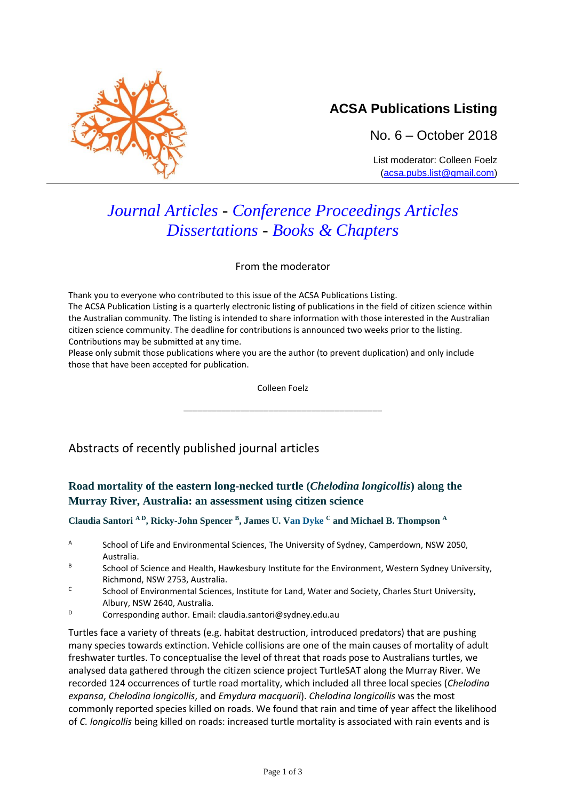

## **ACSA Publications Listing**

No. 6 – October 2018

List moderator: Colleen Foelz [\(acsa.pubs.list@gmail.com\)](mailto:acsa.pubs.list@gmail.com)

# *Journal Articles - Conference Proceedings Articles Dissertations - Books & Chapters*

From the moderator

Thank you to everyone who contributed to this issue of the ACSA Publications Listing. The ACSA Publication Listing is a quarterly electronic listing of publications in the field of citizen science within the Australian community. The listing is intended to share information with those interested in the Australian citizen science community. The deadline for contributions is announced two weeks prior to the listing. Contributions may be submitted at any time.

Please only submit those publications where you are the author (to prevent duplication) and only include those that have been accepted for publication.

Colleen Foelz

\_\_\_\_\_\_\_\_\_\_\_\_\_\_\_\_\_\_\_\_\_\_\_\_\_\_\_\_\_\_\_\_\_\_\_\_\_\_\_\_\_\_

### Abstracts of recently published journal articles

#### **Road mortality of the eastern long-necked turtle (***Chelodina longicollis***) along the Murray River, Australia: an assessment using citizen science**

**Claudia Santori A D, Ricky-John Spencer <sup>B</sup> , James U. Van Dyke <sup>C</sup> and Michael B. Thompson <sup>A</sup>**

- A School of Life and Environmental Sciences, The University of Sydney, Camperdown, NSW 2050, Australia.
- B School of Science and Health, Hawkesbury Institute for the Environment, Western Sydney University, Richmond, NSW 2753, Australia.
- <sup>C</sup>School of Environmental Sciences, Institute for Land, Water and Society, Charles Sturt University, Albury, NSW 2640, Australia.
- $D$  Corresponding author. Email: claudia.santori@sydney.edu.au

Turtles face a variety of threats (e.g. habitat destruction, introduced predators) that are pushing many species towards extinction. Vehicle collisions are one of the main causes of mortality of adult freshwater turtles. To conceptualise the level of threat that roads pose to Australians turtles, we analysed data gathered through the citizen science project TurtleSAT along the Murray River. We recorded 124 occurrences of turtle road mortality, which included all three local species (*Chelodina expansa*, *Chelodina longicollis*, and *Emydura macquarii*). *Chelodina longicollis* was the most commonly reported species killed on roads. We found that rain and time of year affect the likelihood of *C. longicollis* being killed on roads: increased turtle mortality is associated with rain events and is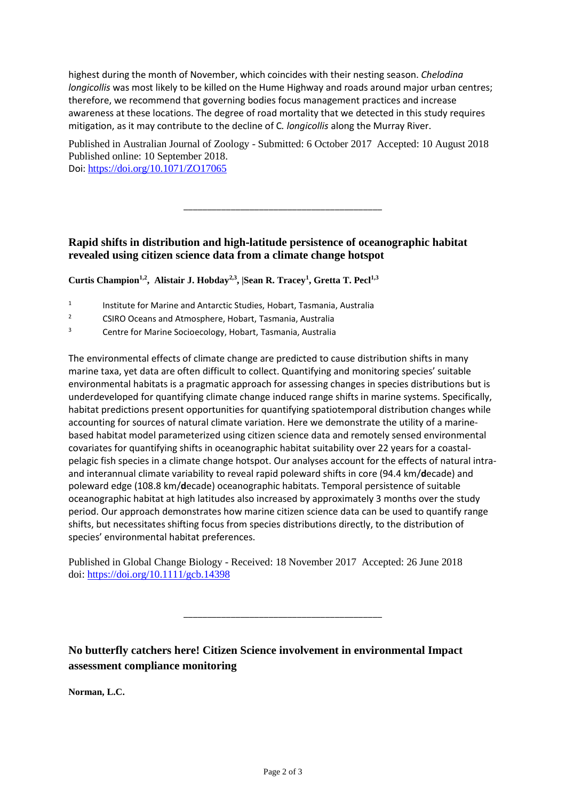highest during the month of November, which coincides with their nesting season. *Chelodina longicollis* was most likely to be killed on the Hume Highway and roads around major urban centres; therefore, we recommend that governing bodies focus management practices and increase awareness at these locations. The degree of road mortality that we detected in this study requires mitigation, as it may contribute to the decline of C*. longicollis* along the Murray River.

Published in Australian Journal of Zoology - Submitted: 6 October 2017 Accepted: 10 August 2018 Published online: 10 September 2018. Doi: <https://doi.org/10.1071/ZO17065>

\_\_\_\_\_\_\_\_\_\_\_\_\_\_\_\_\_\_\_\_\_\_\_\_\_\_\_\_\_\_\_\_\_\_\_\_\_\_\_\_\_\_

#### **Rapid shifts in distribution and high**‐**latitude persistence of oceanographic habitat revealed using citizen science data from a climate change hotspot**

**Curtis Champion1,2 , Alistair J. Hobday2,3 , |Sean R. Tracey<sup>1</sup> , Gretta T. Pecl1,3**

- 1 Institute for Marine and Antarctic Studies, Hobart, Tasmania, Australia
- <sup>2</sup> CSIRO Oceans and Atmosphere, Hobart, Tasmania, Australia
- <sup>3</sup> Centre for Marine Socioecology, Hobart, Tasmania, Australia

The environmental effects of climate change are predicted to cause distribution shifts in many marine taxa, yet data are often difficult to collect. Quantifying and monitoring species' suitable environmental habitats is a pragmatic approach for assessing changes in species distributions but is underdeveloped for quantifying climate change induced range shifts in marine systems. Specifically, habitat predictions present opportunities for quantifying spatiotemporal distribution changes while accounting for sources of natural climate variation. Here we demonstrate the utility of a marine‐ based habitat model parameterized using citizen science data and remotely sensed environmental covariates for quantifying shifts in oceanographic habitat suitability over 22 years for a coastal‐ pelagic fish species in a climate change hotspot. Our analyses account for the effects of natural intra‐ and interannual climate variability to reveal rapid poleward shifts in core (94.4 km/**d**ecade) and poleward edge (108.8 km/**d**ecade) oceanographic habitats. Temporal persistence of suitable oceanographic habitat at high latitudes also increased by approximately 3 months over the study period. Our approach demonstrates how marine citizen science data can be used to quantify range shifts, but necessitates shifting focus from species distributions directly, to the distribution of species' environmental habitat preferences.

Published in Global Change Biology - Received: 18 November 2017 Accepted: 26 June 2018 doi:<https://doi.org/10.1111/gcb.14398>

**No butterfly catchers here! Citizen Science involvement in environmental Impact assessment compliance monitoring**

\_\_\_\_\_\_\_\_\_\_\_\_\_\_\_\_\_\_\_\_\_\_\_\_\_\_\_\_\_\_\_\_\_\_\_\_\_\_\_\_\_\_

**Norman, L.C.**